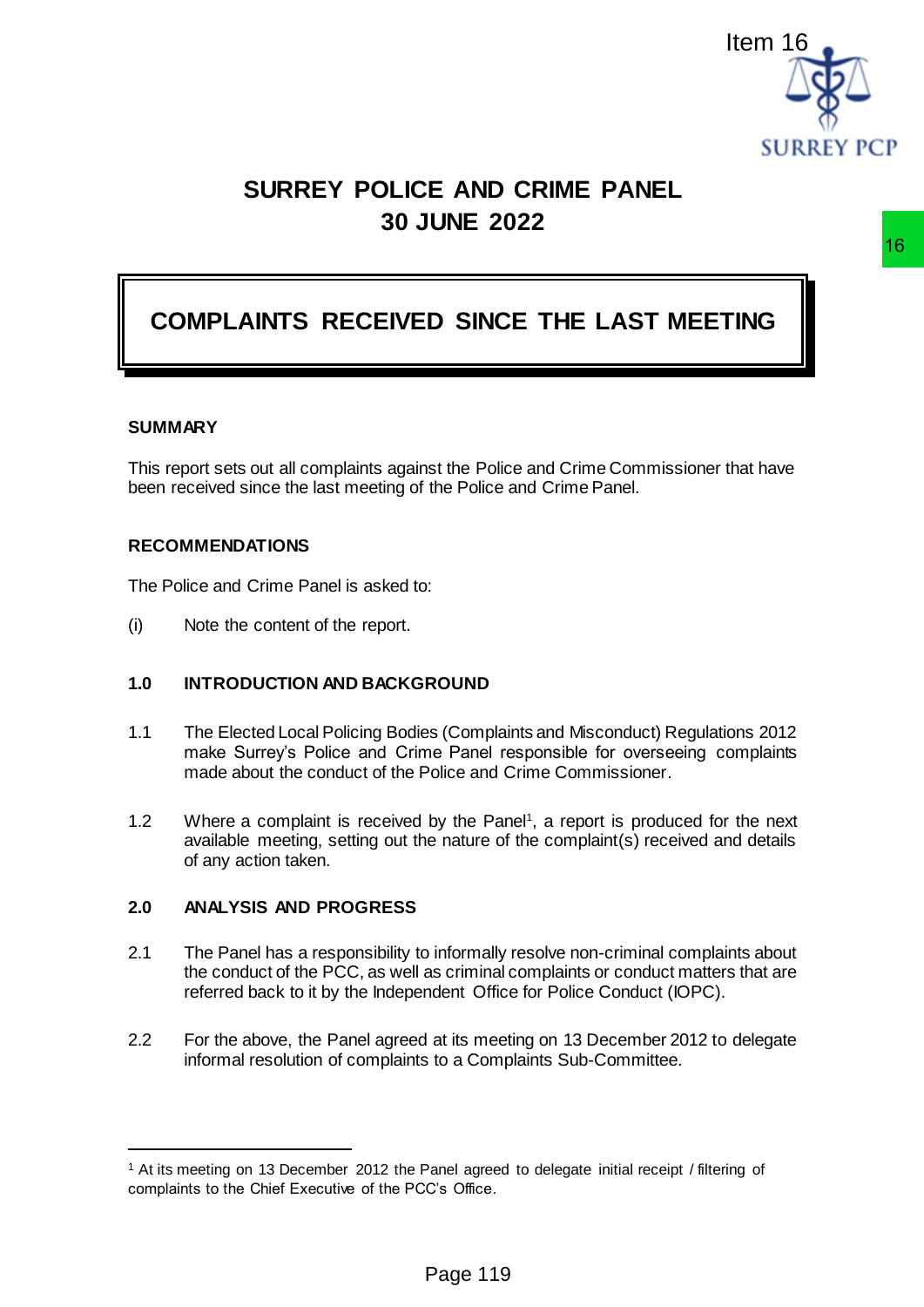

# **SURREY POLICE AND CRIME PANEL 30 JUNE 2022**

# **COMPLAINTS RECEIVED SINCE THE LAST MEETING**

#### **SUMMARY**

 $\overline{a}$ 

This report sets out all complaints against the Police and Crime Commissioner that have been received since the last meeting of the Police and Crime Panel.

#### **RECOMMENDATIONS**

The Police and Crime Panel is asked to:

(i) Note the content of the report.

## **1.0 INTRODUCTION AND BACKGROUND**

- 1.1 The Elected Local Policing Bodies (Complaints and Misconduct) Regulations 2012 make Surrey's Police and Crime Panel responsible for overseeing complaints made about the conduct of the Police and Crime Commissioner.
- 1.2 Where a complaint is received by the Panel<sup>1</sup>, a report is produced for the next available meeting, setting out the nature of the complaint(s) received and details of any action taken.

## **2.0 ANALYSIS AND PROGRESS**

- 2.1 The Panel has a responsibility to informally resolve non-criminal complaints about the conduct of the PCC, as well as criminal complaints or conduct matters that are referred back to it by the Independent Office for Police Conduct (IOPC).
- 2.2 For the above, the Panel agreed at its meeting on 13 December 2012 to delegate informal resolution of complaints to a Complaints Sub-Committee.

<sup>1</sup> At its meeting on 13 December 2012 the Panel agreed to delegate initial receipt / filtering of complaints to the Chief Executive of the PCC's Office.